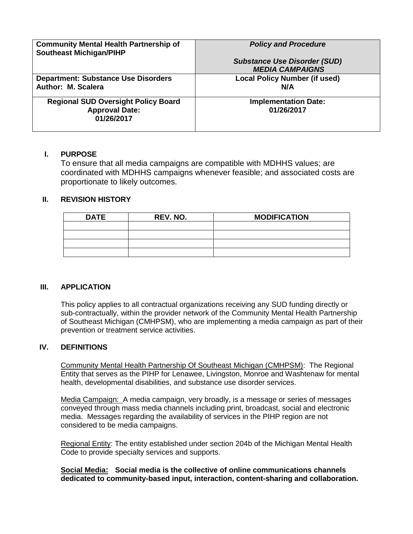| <b>Community Mental Health Partnership of</b><br><b>Southeast Michigan/PIHP</b>   | <b>Policy and Procedure</b>               |  |
|-----------------------------------------------------------------------------------|-------------------------------------------|--|
|                                                                                   | <b>Substance Use Disorder (SUD)</b>       |  |
|                                                                                   | <b>MEDIA CAMPAIGNS</b>                    |  |
| <b>Department: Substance Use Disorders</b>                                        | <b>Local Policy Number (if used)</b>      |  |
| Author: M. Scalera                                                                | N/A                                       |  |
| <b>Regional SUD Oversight Policy Board</b><br><b>Approval Date:</b><br>01/26/2017 | <b>Implementation Date:</b><br>01/26/2017 |  |

#### **I. PURPOSE**

To ensure that all media campaigns are compatible with MDHHS values; are coordinated with MDHHS campaigns whenever feasible; and associated costs are proportionate to likely outcomes.

# **II. REVISION HISTORY**

| <b>DATE</b> | REV. NO. | <b>MODIFICATION</b> |
|-------------|----------|---------------------|
|             |          |                     |
|             |          |                     |
|             |          |                     |
|             |          |                     |

#### **III. APPLICATION**

This policy applies to all contractual organizations receiving any SUD funding directly or sub-contractually, within the provider network of the Community Mental Health Partnership of Southeast Michigan (CMHPSM), who are implementing a media campaign as part of their prevention or treatment service activities.

#### **IV. DEFINITIONS**

Community Mental Health Partnership Of Southeast Michigan (CMHPSM): The Regional Entity that serves as the PIHP for Lenawee, Livingston, Monroe and Washtenaw for mental health, developmental disabilities, and substance use disorder services.

Media Campaign: A media campaign, very broadly, is a message or series of messages conveyed through mass media channels including print, broadcast, social and electronic media. Messages regarding the availability of services in the PIHP region are not considered to be media campaigns.

Regional Entity: The entity established under section 204b of the Michigan Mental Health Code to provide specialty services and supports.

**Social Media: Social media is the collective of online communications channels dedicated to community-based input, interaction, content-sharing and collaboration.**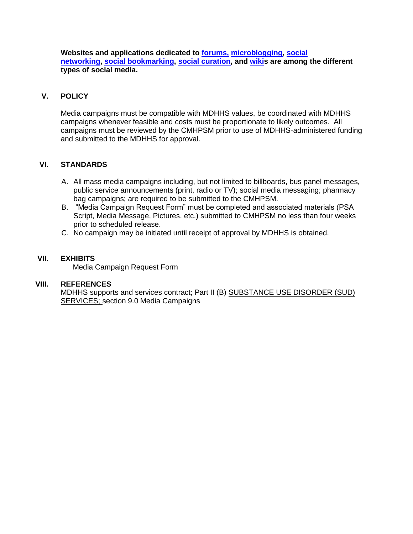**Websites and applications dedicated to [forums,](http://whatis.techtarget.com/definition/discussion-board-discussion-group-message-board-online-forum) [microblogging,](http://searchmobilecomputing.techtarget.com/definition/microblogging) [social](http://whatis.techtarget.com/definition/social-networking)  [networking,](http://whatis.techtarget.com/definition/social-networking) [social bookmarking,](http://whatis.techtarget.com/definition/social-bookmarking) [social curation,](http://whatis.techtarget.com/definition/social-curation) and [wikis](http://searchsoa.techtarget.com/definition/wiki) are among the different types of social media.**

### **V. POLICY**

Media campaigns must be compatible with MDHHS values, be coordinated with MDHHS campaigns whenever feasible and costs must be proportionate to likely outcomes. All campaigns must be reviewed by the CMHPSM prior to use of MDHHS-administered funding and submitted to the MDHHS for approval.

# **VI. STANDARDS**

- A. All mass media campaigns including, but not limited to billboards, bus panel messages, public service announcements (print, radio or TV); social media messaging; pharmacy bag campaigns; are required to be submitted to the CMHPSM.
- B. "Media Campaign Request Form" must be completed and associated materials (PSA Script, Media Message, Pictures, etc.) submitted to CMHPSM no less than four weeks prior to scheduled release.
- C. No campaign may be initiated until receipt of approval by MDHHS is obtained.

#### **VII. EXHIBITS**

Media Campaign Request Form

#### **VIII. REFERENCES**

MDHHS supports and services contract; Part II (B) SUBSTANCE USE DISORDER (SUD) SERVICES; section 9.0 Media Campaigns